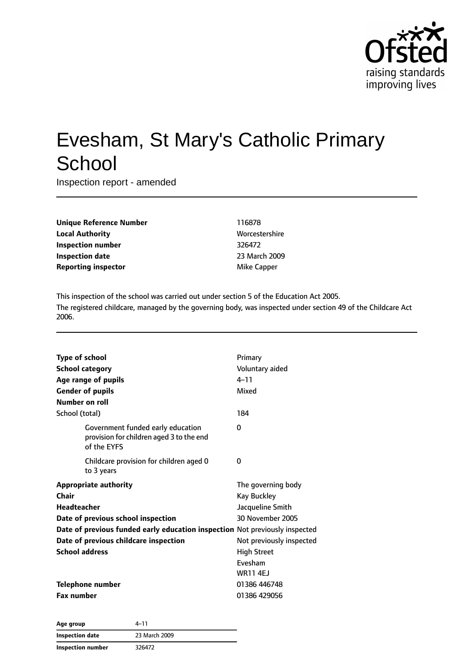

# Evesham, St Mary's Catholic Primary **School**

Inspection report - amended

| <b>Unique Reference Number</b> |
|--------------------------------|
| <b>Local Authority</b>         |
| Inspection number              |
| Inspection date                |
| <b>Reporting inspector</b>     |

**Unique Reference Number** 116878 **Worcestershire Inspection number** 326472 **Inspection date** 23 March 2009 **Mike Capper** 

This inspection of the school was carried out under section 5 of the Education Act 2005. The registered childcare, managed by the governing body, was inspected under section 49 of the Childcare Act 2006.

| <b>Type of school</b><br><b>School category</b><br>Age range of pupils<br><b>Gender of pupils</b><br><b>Number on roll</b> | Primary<br>Voluntary aided<br>$4 - 11$<br>Mixed                                  |
|----------------------------------------------------------------------------------------------------------------------------|----------------------------------------------------------------------------------|
| School (total)                                                                                                             | 184                                                                              |
| Government funded early education<br>provision for children aged 3 to the end<br>of the EYFS                               | 0                                                                                |
| Childcare provision for children aged 0<br>to 3 years                                                                      | 0                                                                                |
| <b>Appropriate authority</b><br>Chair<br>Headteacher<br>Date of previous school inspection                                 | The governing body<br><b>Kay Buckley</b><br>Jacqueline Smith<br>30 November 2005 |
| Date of previous funded early education inspection Not previously inspected<br>Date of previous childcare inspection       | Not previously inspected                                                         |
| <b>School address</b>                                                                                                      | <b>High Street</b><br>Evesham<br><b>WR11 4EJ</b>                                 |
| Telephone number                                                                                                           | 01386 446748                                                                     |
| <b>Fax number</b>                                                                                                          | 01386 429056                                                                     |

| Age group                | 4–11          |
|--------------------------|---------------|
| <b>Inspection date</b>   | 23 March 2009 |
| <b>Inspection number</b> | 326472        |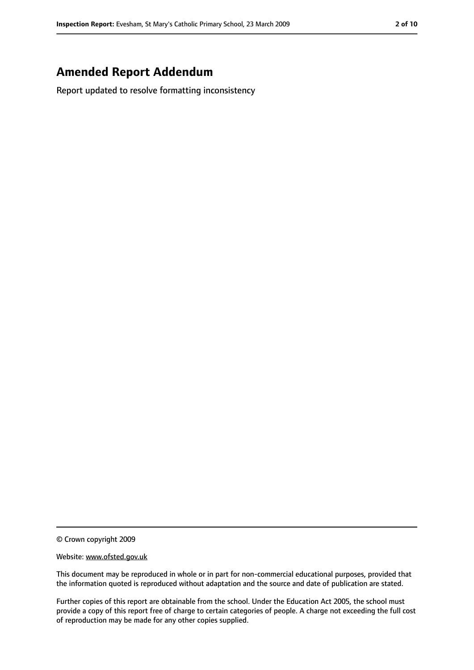### **Amended Report Addendum**

Report updated to resolve formatting inconsistency

<sup>©</sup> Crown copyright 2009

Website: www.ofsted.gov.uk

This document may be reproduced in whole or in part for non-commercial educational purposes, provided that the information quoted is reproduced without adaptation and the source and date of publication are stated.

Further copies of this report are obtainable from the school. Under the Education Act 2005, the school must provide a copy of this report free of charge to certain categories of people. A charge not exceeding the full cost of reproduction may be made for any other copies supplied.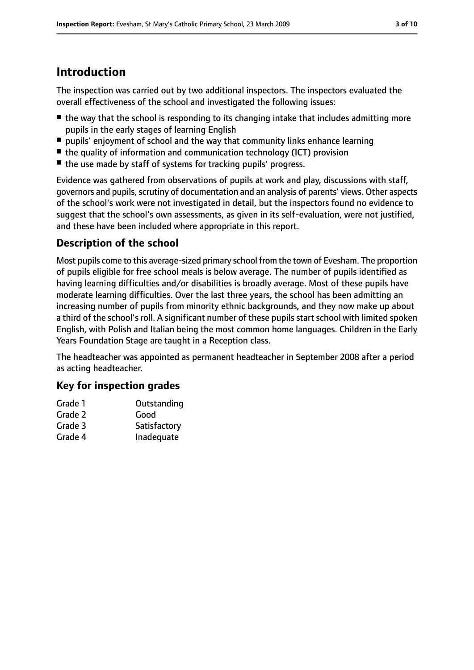### **Introduction**

The inspection was carried out by two additional inspectors. The inspectors evaluated the overall effectiveness of the school and investigated the following issues:

- the way that the school is responding to its changing intake that includes admitting more pupils in the early stages of learning English
- pupils' enjoyment of school and the way that community links enhance learning
- the quality of information and communication technology (ICT) provision
- the use made by staff of systems for tracking pupils' progress.

Evidence was gathered from observations of pupils at work and play, discussions with staff, governors and pupils, scrutiny of documentation and an analysis of parents' views. Other aspects of the school's work were not investigated in detail, but the inspectors found no evidence to suggest that the school's own assessments, as given in its self-evaluation, were not justified, and these have been included where appropriate in this report.

### **Description of the school**

Most pupils come to this average-sized primary school from the town of Evesham. The proportion of pupils eligible for free school meals is below average. The number of pupils identified as having learning difficulties and/or disabilities is broadly average. Most of these pupils have moderate learning difficulties. Over the last three years, the school has been admitting an increasing number of pupils from minority ethnic backgrounds, and they now make up about a third of the school's roll. A significant number of these pupils start school with limited spoken English, with Polish and Italian being the most common home languages. Children in the Early Years Foundation Stage are taught in a Reception class.

The headteacher was appointed as permanent headteacher in September 2008 after a period as acting headteacher.

### **Key for inspection grades**

| Grade 1 | Outstanding  |
|---------|--------------|
| Grade 2 | Good         |
| Grade 3 | Satisfactory |
| Grade 4 | Inadequate   |
|         |              |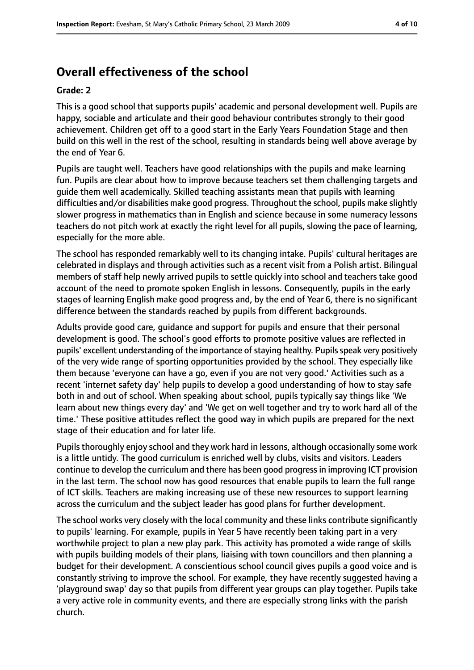### **Overall effectiveness of the school**

#### **Grade: 2**

This is a good school that supports pupils' academic and personal development well. Pupils are happy, sociable and articulate and their good behaviour contributes strongly to their good achievement. Children get off to a good start in the Early Years Foundation Stage and then build on this well in the rest of the school, resulting in standards being well above average by the end of Year 6.

Pupils are taught well. Teachers have good relationships with the pupils and make learning fun. Pupils are clear about how to improve because teachers set them challenging targets and guide them well academically. Skilled teaching assistants mean that pupils with learning difficulties and/or disabilities make good progress. Throughout the school, pupils make slightly slower progress in mathematics than in English and science because in some numeracy lessons teachers do not pitch work at exactly the right level for all pupils, slowing the pace of learning, especially for the more able.

The school has responded remarkably well to its changing intake. Pupils' cultural heritages are celebrated in displays and through activities such as a recent visit from a Polish artist. Bilingual members of staff help newly arrived pupils to settle quickly into school and teachers take good account of the need to promote spoken English in lessons. Consequently, pupils in the early stages of learning English make good progress and, by the end of Year 6, there is no significant difference between the standards reached by pupils from different backgrounds.

Adults provide good care, guidance and support for pupils and ensure that their personal development is good. The school's good efforts to promote positive values are reflected in pupils' excellent understanding of the importance of staying healthy. Pupils speak very positively of the very wide range of sporting opportunities provided by the school. They especially like them because 'everyone can have a go, even if you are not very good.' Activities such as a recent 'internet safety day' help pupils to develop a good understanding of how to stay safe both in and out of school. When speaking about school, pupils typically say things like 'We learn about new things every day' and 'We get on well together and try to work hard all of the time.' These positive attitudes reflect the good way in which pupils are prepared for the next stage of their education and for later life.

Pupils thoroughly enjoy school and they work hard in lessons, although occasionally some work is a little untidy. The good curriculum is enriched well by clubs, visits and visitors. Leaders continue to develop the curriculum and there has been good progressin improving ICT provision in the last term. The school now has good resources that enable pupils to learn the full range of ICT skills. Teachers are making increasing use of these new resources to support learning across the curriculum and the subject leader has good plans for further development.

The school works very closely with the local community and these links contribute significantly to pupils' learning. For example, pupils in Year 5 have recently been taking part in a very worthwhile project to plan a new play park. This activity has promoted a wide range of skills with pupils building models of their plans, liaising with town councillors and then planning a budget for their development. A conscientious school council gives pupils a good voice and is constantly striving to improve the school. For example, they have recently suggested having a 'playground swap' day so that pupils from different year groups can play together. Pupils take a very active role in community events, and there are especially strong links with the parish church.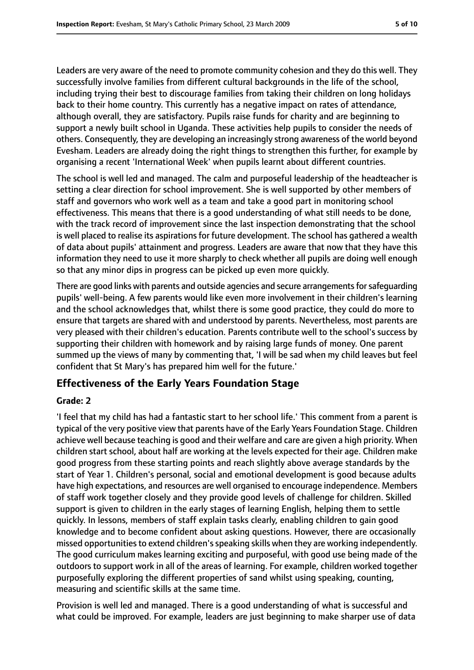Leaders are very aware of the need to promote community cohesion and they do this well. They successfully involve families from different cultural backgrounds in the life of the school, including trying their best to discourage families from taking their children on long holidays back to their home country. This currently has a negative impact on rates of attendance, although overall, they are satisfactory. Pupils raise funds for charity and are beginning to support a newly built school in Uganda. These activities help pupils to consider the needs of others. Consequently, they are developing an increasingly strong awareness of the world beyond Evesham. Leaders are already doing the right things to strengthen this further, for example by organising a recent 'International Week' when pupils learnt about different countries.

The school is well led and managed. The calm and purposeful leadership of the headteacher is setting a clear direction for school improvement. She is well supported by other members of staff and governors who work well as a team and take a good part in monitoring school effectiveness. This means that there is a good understanding of what still needs to be done, with the track record of improvement since the last inspection demonstrating that the school is well placed to realise its aspirations for future development. The school has gathered a wealth of data about pupils' attainment and progress. Leaders are aware that now that they have this information they need to use it more sharply to check whether all pupils are doing well enough so that any minor dips in progress can be picked up even more quickly.

There are good links with parents and outside agencies and secure arrangements for safeguarding pupils' well-being. A few parents would like even more involvement in their children's learning and the school acknowledges that, whilst there is some good practice, they could do more to ensure that targets are shared with and understood by parents. Nevertheless, most parents are very pleased with their children's education. Parents contribute well to the school's success by supporting their children with homework and by raising large funds of money. One parent summed up the views of many by commenting that, 'I will be sad when my child leaves but feel confident that St Mary's has prepared him well for the future.'

### **Effectiveness of the Early Years Foundation Stage**

#### **Grade: 2**

'I feel that my child has had a fantastic start to her school life.' This comment from a parent is typical of the very positive view that parents have of the Early Years Foundation Stage. Children achieve well because teaching is good and their welfare and care are given a high priority. When children start school, about half are working at the levels expected for their age. Children make good progress from these starting points and reach slightly above average standards by the start of Year 1. Children's personal, social and emotional development is good because adults have high expectations, and resources are well organised to encourage independence. Members of staff work together closely and they provide good levels of challenge for children. Skilled support is given to children in the early stages of learning English, helping them to settle quickly. In lessons, members of staff explain tasks clearly, enabling children to gain good knowledge and to become confident about asking questions. However, there are occasionally missed opportunities to extend children's speaking skills when they are working independently. The good curriculum makes learning exciting and purposeful, with good use being made of the outdoors to support work in all of the areas of learning. For example, children worked together purposefully exploring the different properties of sand whilst using speaking, counting, measuring and scientific skills at the same time.

Provision is well led and managed. There is a good understanding of what is successful and what could be improved. For example, leaders are just beginning to make sharper use of data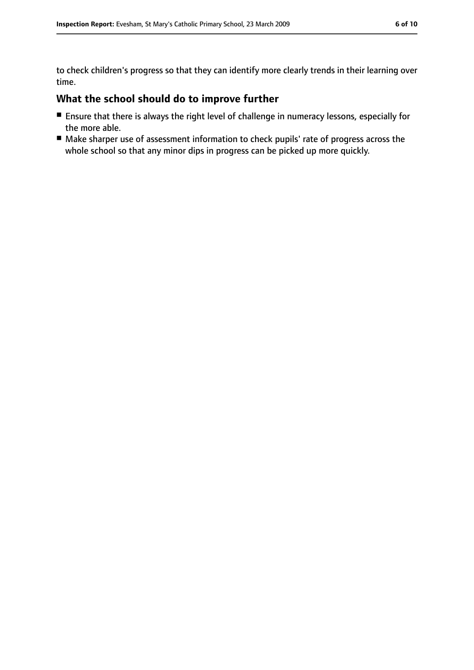to check children's progress so that they can identify more clearly trends in their learning over time.

# **What the school should do to improve further**

- Ensure that there is always the right level of challenge in numeracy lessons, especially for the more able.
- Make sharper use of assessment information to check pupils' rate of progress across the whole school so that any minor dips in progress can be picked up more quickly.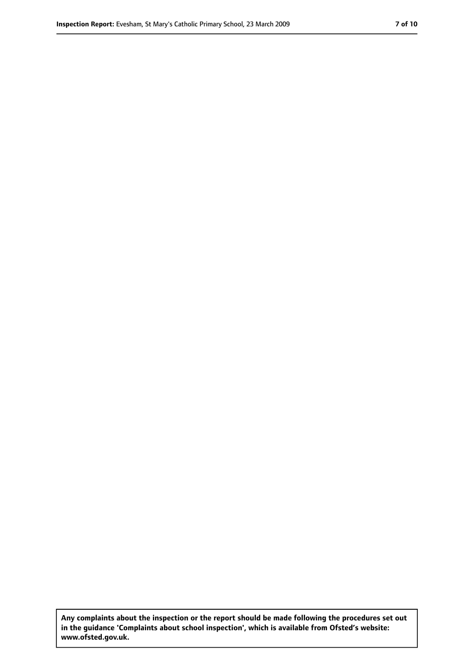**Any complaints about the inspection or the report should be made following the procedures set out in the guidance 'Complaints about school inspection', which is available from Ofsted's website: www.ofsted.gov.uk.**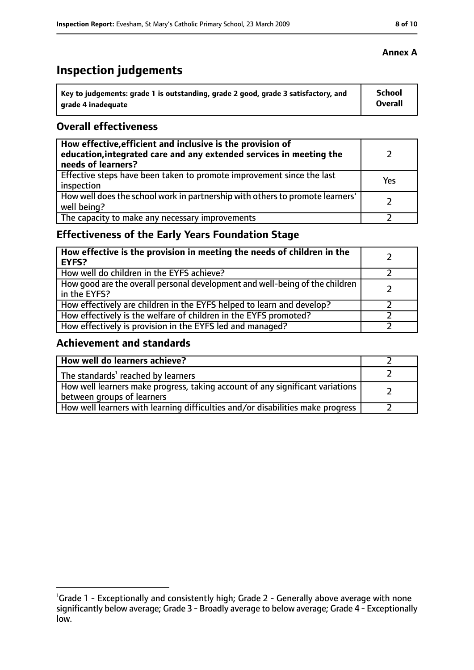## **Inspection judgements**

| Key to judgements: grade 1 is outstanding, grade 2 good, grade 3 satisfactory, and | <b>School</b> |
|------------------------------------------------------------------------------------|---------------|
| arade 4 inadequate                                                                 | Overall       |

#### **Overall effectiveness**

| How effective, efficient and inclusive is the provision of<br>education, integrated care and any extended services in meeting the<br>needs of learners? |     |
|---------------------------------------------------------------------------------------------------------------------------------------------------------|-----|
| Effective steps have been taken to promote improvement since the last<br>inspection                                                                     | Yes |
| How well does the school work in partnership with others to promote learners'<br>well being?                                                            |     |
| The capacity to make any necessary improvements                                                                                                         |     |

### **Effectiveness of the Early Years Foundation Stage**

| How effective is the provision in meeting the needs of children in the<br><b>EYFS?</b>       |  |
|----------------------------------------------------------------------------------------------|--|
| How well do children in the EYFS achieve?                                                    |  |
| How good are the overall personal development and well-being of the children<br>in the EYFS? |  |
| How effectively are children in the EYFS helped to learn and develop?                        |  |
| How effectively is the welfare of children in the EYFS promoted?                             |  |
| How effectively is provision in the EYFS led and managed?                                    |  |

### **Achievement and standards**

| How well do learners achieve?                                                                               |  |
|-------------------------------------------------------------------------------------------------------------|--|
| The standards <sup>1</sup> reached by learners                                                              |  |
| How well learners make progress, taking account of any significant variations<br>between groups of learners |  |
| How well learners with learning difficulties and/or disabilities make progress                              |  |

### **Annex A**

<sup>&</sup>lt;sup>1</sup>Grade 1 - Exceptionally and consistently high; Grade 2 - Generally above average with none significantly below average; Grade 3 - Broadly average to below average; Grade 4 - Exceptionally low.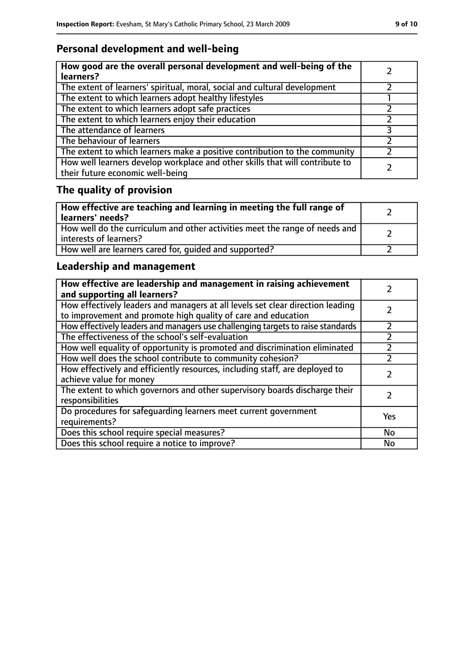### **Personal development and well-being**

| How good are the overall personal development and well-being of the<br>learners?                                 |  |
|------------------------------------------------------------------------------------------------------------------|--|
| The extent of learners' spiritual, moral, social and cultural development                                        |  |
| The extent to which learners adopt healthy lifestyles                                                            |  |
| The extent to which learners adopt safe practices                                                                |  |
| The extent to which learners enjoy their education                                                               |  |
| The attendance of learners                                                                                       |  |
| The behaviour of learners                                                                                        |  |
| The extent to which learners make a positive contribution to the community                                       |  |
| How well learners develop workplace and other skills that will contribute to<br>their future economic well-being |  |

# **The quality of provision**

| How effective are teaching and learning in meeting the full range of<br>learners' needs?              |  |
|-------------------------------------------------------------------------------------------------------|--|
| How well do the curriculum and other activities meet the range of needs and<br>interests of learners? |  |
| How well are learners cared for, quided and supported?                                                |  |

### **Leadership and management**

| How effective are leadership and management in raising achievement<br>and supporting all learners?                                              |     |
|-------------------------------------------------------------------------------------------------------------------------------------------------|-----|
| How effectively leaders and managers at all levels set clear direction leading<br>to improvement and promote high quality of care and education |     |
| How effectively leaders and managers use challenging targets to raise standards                                                                 |     |
| The effectiveness of the school's self-evaluation                                                                                               |     |
| How well equality of opportunity is promoted and discrimination eliminated                                                                      |     |
| How well does the school contribute to community cohesion?                                                                                      |     |
| How effectively and efficiently resources, including staff, are deployed to<br>achieve value for money                                          |     |
| The extent to which governors and other supervisory boards discharge their<br>responsibilities                                                  |     |
| Do procedures for safequarding learners meet current government<br>requirements?                                                                | Yes |
| Does this school require special measures?                                                                                                      | No  |
| Does this school require a notice to improve?                                                                                                   | No  |